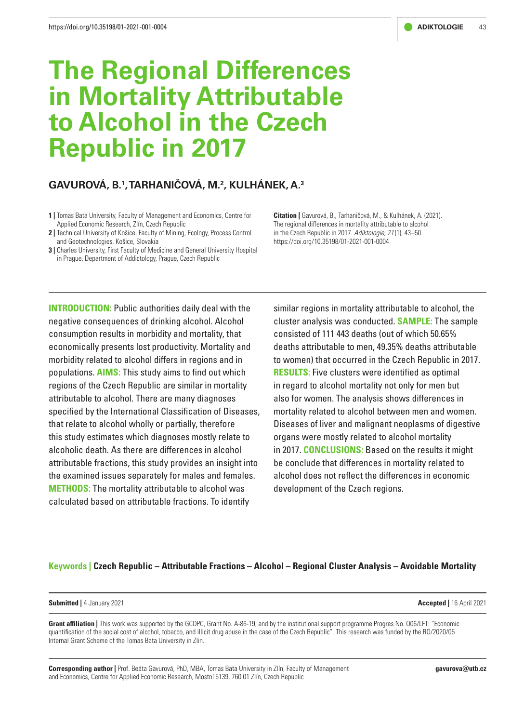# **The Regional Differences in Mortality Attributable to Alcohol in the Czech Republic in 2017**

# **GAVUROVÁ, B.1 , TARHANIČOVÁ, M.2 , KULHÁNEK, A.3**

- **1 |** Tomas Bata University, Faculty of Management and Economics, Centre for Applied Economic Research, Zlín, Czech Republic
- **2 |** Technical University of Košice, Faculty of Mining, Ecology, Process Control and Geotechnologies, Košice, Slovakia
- **3** | Charles University, First Faculty of Medicine and General University Hospital in Prague, Department of Addictology, Prague, Czech Republic

**Citation |** Gavurová, B., Tarhaničová, M., & Kulhánek, A. (2021). The regional differences in mortality attributable to alcohol in the Czech Republic in 2017. *Adiktologie, 21* (1), 43–50. https://doi.org/10.35198/01-2021-001-0004

**INTRODUCTION:** Public authorities daily deal with the negative consequences of drinking alcohol. Alcohol consumption results in morbidity and mortality, that economically presents lost productivity. Mortality and morbidity related to alcohol differs in regions and in populations. **AIMS:** This study aims to find out which regions of the Czech Republic are similar in mortality attributable to alcohol. There are many diagnoses specified by the International Classification of Diseases, that relate to alcohol wholly or partially, therefore this study estimates which diagnoses mostly relate to alcoholic death. As there are differences in alcohol attributable fractions, this study provides an insight into the examined issues separately for males and females. **METHODS:** The mortality attributable to alcohol was calculated based on attributable fractions. To identify

similar regions in mortality attributable to alcohol, the cluster analysis was conducted. **SAMPLE:** The sample consisted of 111 443 deaths (out of which 50.65% deaths attributable to men, 49.35% deaths attributable to women) that occurred in the Czech Republic in 2017. **RESULTS:** Five clusters were identified as optimal in regard to alcohol mortality not only for men but also for women. The analysis shows differences in mortality related to alcohol between men and women. Diseases of liver and malignant neoplasms of digestive organs were mostly related to alcohol mortality in 2017. **CONCLUSIONS:** Based on the results it might be conclude that differences in mortality related to alcohol does not reflect the differences in economic development of the Czech regions.

# **Keywords | Czech Republic – Attributable Fractions – Alcohol – Regional Cluster Analysis – Avoidable Mortality**

**Submitted |** 4 January 2021 **Accepted |** 16 April 2021

**Grant affiliation |** This work was supported by the GCDPC, Grant No. A-86-19, and by the institutional support programme Progres No. Q06/LF1: "Economic quantification of the social cost of alcohol, tobacco, and illicit drug abuse in the case of the Czech Republic". This research was funded by the RO/2020/05 Internal Grant Scheme of the Tomas Bata University in Zlin.

**Corresponding author |** Prof. Beáta Gavurová, PhD, MBA, Tomas Bata University in Zlín, Faculty of Management and Economics, Centre for Applied Economic Research, Mostní 5139, 760 01 Zlín, Czech Republic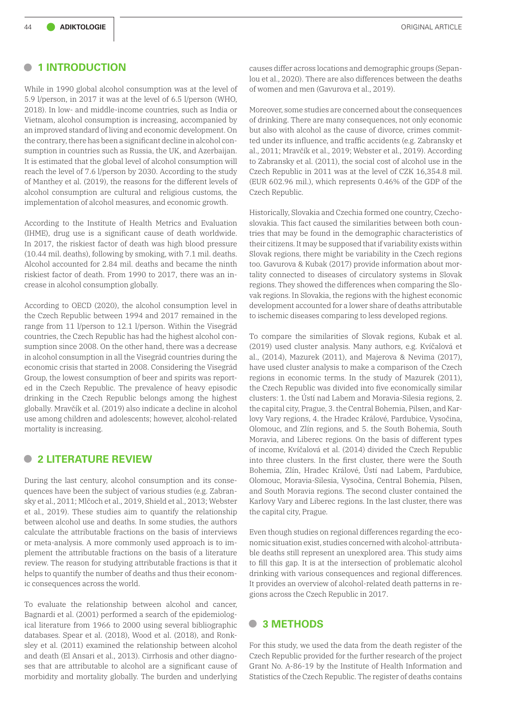# **• 1 INTRODUCTION**

While in 1990 global alcohol consumption was at the level of 5.9 l/person, in 2017 it was at the level of 6.5 l/person (WHO, 2018). In low- and middle-income countries, such as India or Vietnam, alcohol consumption is increasing, accompanied by an improved standard of living and economic development. On the contrary, there has been a significant decline in alcohol consumption in countries such as Russia, the UK, and Azerbaijan. It is estimated that the global level of alcohol consumption will reach the level of 7.6 l/person by 2030. According to the study of Manthey et al. (2019), the reasons for the different levels of alcohol consumption are cultural and religious customs, the implementation of alcohol measures, and economic growth.

According to the Institute of Health Metrics and Evaluation (IHME), drug use is a significant cause of death worldwide. In 2017, the riskiest factor of death was high blood pressure (10.44 mil. deaths), following by smoking, with 7.1 mil. deaths. Alcohol accounted for 2.84 mil. deaths and became the ninth riskiest factor of death. From 1990 to 2017, there was an increase in alcohol consumption globally.

According to OECD (2020), the alcohol consumption level in the Czech Republic between 1994 and 2017 remained in the range from 11 l/person to 12.1 l/person. Within the Visegrád countries, the Czech Republic has had the highest alcohol consumption since 2008. On the other hand, there was a decrease in alcohol consumption in all the Visegrád countries during the economic crisis that started in 2008. Considering the Visegrád Group, the lowest consumption of beer and spirits was reported in the Czech Republic. The prevalence of heavy episodic drinking in the Czech Republic belongs among the highest globally. Mravčík et al. (2019) also indicate a decline in alcohol use among children and adolescents; however, alcohol-related mortality is increasing.

# **• 2 LITERATURE REVIEW**

During the last century, alcohol consumption and its consequences have been the subject of various studies (e.g. Zabransky et al., 2011; Mlčoch et al., 2019, Shield et al., 2013; Webster et al., 2019). These studies aim to quantify the relationship between alcohol use and deaths. In some studies, the authors calculate the attributable fractions on the basis of interviews or meta-analysis. A more commonly used approach is to implement the attributable fractions on the basis of a literature review. The reason for studying attributable fractions is that it helps to quantify the number of deaths and thus their economic consequences across the world.

To evaluate the relationship between alcohol and cancer, Bagnardi et al. (2001) performed a search of the epidemiological literature from 1966 to 2000 using several bibliographic databases. Spear et al. (2018), Wood et al. (2018), and Ronksley et al. (2011) examined the relationship between alcohol and death (El Ansari et al., 2013). Cirrhosis and other diagnoses that are attributable to alcohol are a significant cause of morbidity and mortality globally. The burden and underlying

causes differ across locations and demographic groups (Sepanlou et al., 2020). There are also differences between the deaths of women and men (Gavurova et al., 2019).

Moreover, some studies are concerned about the consequences of drinking. There are many consequences, not only economic but also with alcohol as the cause of divorce, crimes committed under its influence, and traffic accidents (e.g. Zabransky et al., 2011; Mravčík et al., 2019; Webster et al., 2019). According to Zabransky et al. (2011), the social cost of alcohol use in the Czech Republic in 2011 was at the level of CZK 16,354.8 mil. (EUR 602.96 mil.), which represents 0.46% of the GDP of the Czech Republic.

Historically, Slovakia and Czechia formed one country, Czechoslovakia. This fact caused the similarities between both countries that may be found in the demographic characteristics of their citizens. It may be supposed that if variability exists within Slovak regions, there might be variability in the Czech regions too. Gavurova & Kubak (2017) provide information about mortality connected to diseases of circulatory systems in Slovak regions. They showed the differences when comparing the Slovak regions. In Slovakia, the regions with the highest economic development accounted for a lower share of deaths attributable to ischemic diseases comparing to less developed regions.

To compare the similarities of Slovak regions, Kubak et al. (2019) used cluster analysis. Many authors, e.g. Kvíčalová et al., (2014), Mazurek (2011), and Majerova & Nevima (2017), have used cluster analysis to make a comparison of the Czech regions in economic terms. In the study of Mazurek (2011), the Czech Republic was divided into five economically similar clusters: 1. the Ústí nad Labem and Moravia-Silesia regions, 2. the capital city, Prague, 3. the Central Bohemia, Pilsen, and Karlovy Vary regions, 4. the Hradec Králové, Pardubice, Vysočina, Olomouc, and Zlín regions, and 5. the South Bohemia, South Moravia, and Liberec regions. On the basis of different types of income, Kvíčalová et al. (2014) divided the Czech Republic into three clusters. In the first cluster, there were the South Bohemia, Zlín, Hradec Králové, Ústí nad Labem, Pardubice, Olomouc, Moravia-Silesia, Vysočina, Central Bohemia, Pilsen, and South Moravia regions. The second cluster contained the Karlovy Vary and Liberec regions. In the last cluster, there was the capital city, Prague.

Even though studies on regional differences regarding the economic situation exist, studies concerned with alcohol-attributable deaths still represent an unexplored area. This study aims to fill this gap. It is at the intersection of problematic alcohol drinking with various consequences and regional differences. It provides an overview of alcohol-related death patterns in regions across the Czech Republic in 2017.

# **• 3 METHODS**

For this study, we used the data from the death register of the Czech Republic provided for the further research of the project Grant No. A-86-19 by the [Institute of Health Information and](https://www.uzis.cz/index.php)  [Statistics of the Czech Republic](https://www.uzis.cz/index.php). The register of deaths contains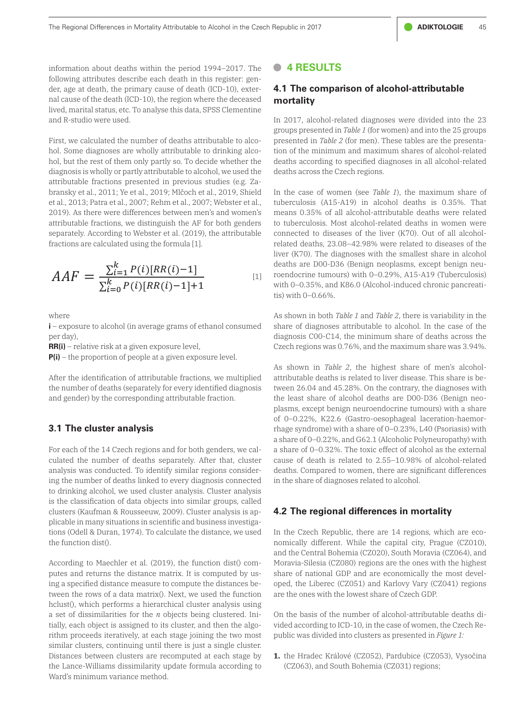information about deaths within the period 1994–2017. The  $\bullet$  4 RESULTS following attributes describe each death in this register: gender, age at death, the primary cause of death (ICD-10), exter-<br>and source of the death (ICD-10), the region where the decessed nal cause of the death (ICD-10), the region where the deceased lived, marital status, etc. To analyse this data, SPSS Clementine and R-studio were used. nved, maritarstatus, etc. 10 analyse tins uata, SPSS Clementine<br>In 2017, alcohol-related diagnoses were divided into the 23

First, we calculated the number of deaths attributable to alcohol. Some diagnoses are wholly attributable to drinking alcohol, but the rest of them only partly so. To decide whether the nor, but the rest of them only partly so. To decide whether the collearns according to specified diagnoses in all alcohol-related<br>diagnosis is wholly or partly attributable to alcohol, we used the cleaths across the Czech attributable fractions presented in previous studies (e.g. Zabransky et al., 2011; Ye et al., 2019; Mlčoch et al., 2019, Shield In the case of women (see Table 1), the maximum share of et al., 2013; Patra et al., 2007; Rehm et al., 2007; Webster et al., 2019). As there were differences between men's and women's 2019). As there were differences between men's and women's imeans 0.35% of all alcohol-attributable deaths were<br>attributable fractions, we distinguish the AF for both genders i to tuberculosis. Most alcohol-related deaths separately. According to Webster et al. (2019), the attributable fractions are calculated using the formula [1].

$$
AAF = \frac{\sum_{i=1}^{k} P(i)[RR(i)-1]}{\sum_{i=0}^{k} P(i)[RR(i)-1]+1}
$$
 [1]

where

**i** – exposure to alcohol (in average grams of ethanol consumed per day),

**RR(i)** – relative risk at a given exposure level,

 $P(i)$  – the proportion of people at a given exposure level.

the proportion of the people at a given exposure level of the number of deaths (separately for every identified diagnosis tween : After the identification of attributable fractions, we multiplied and gender) by the corresponding attributable fraction.

#### **3.1 The cluster analysis**

**3.1 The cluster analysis**  clusters (Kaufman & Rousseeuw, 2009). Cluster analysis is ap-For each of the 14 Czech regions and for both genders, we calculated the number of deaths separately. After that, cluster analysis was conducted. To identify similar regions considering the number of deaths linked to every diagnosis connected to drinking alcohol, we used cluster analysis. Cluster analysis is the classification of data objects into similar groups, called plicable in many situations in scientific and business investigations (Odell & Duran, 1974). To calculate the distance, we used the function dist().

ing a specified distance measure to compute the distances be- oped, the Liberec (CZ051) and Karlovy vary (CZ041) regions<br>tween the rows of a data matrix(). Next, we used the function or are the ones with the lowest share o a set of dissimilarities for the *n* objects being clustered. Ini-<br>
a set of dissimilarities for the *n* objects being clustered. Ini-<br>
a set of alcohol-attributable deaths deaths of rithm proceeds iteratively, at each stage joining the two most — public was divided into clusters as presented in Figure 1:<br>similar clusters, continuing until there is just a single cluster. the Lance-Williams dissimilarity update formula according to (CZ063), and South Bohemia (CZ031) regions; According to Maechler et al. (2019), the function dist() computes and returns the distance matrix. It is computed by using a specified distance measure to compute the distances behclust(), which performs a hierarchical cluster analysis using tially, each object is assigned to its cluster, and then the algorithm proceeds iteratively, at each stage joining the two most Distances between clusters are recomputed at each stage by Ward's minimum variance method.

#### **• 4 RESULTS**

#### **4.1 The comparison of alcohol-attributable mortality**

First, we calculated the number of deaths attributable to alco-<br>help al., 2012; Music and alternative area to all attributed in *Table 2* (for men). These tables are the presentagroups presented in *Table 1* (for women) and into the 25 groups tion of the minimum and maximum shares of alcohol-related deaths according to specified diagnoses in all alcohol-related deaths across the Czech regions.

> [1] roendocrine tumours) with  $0-0.29\%$ , A15-A19 (Tuberculosis)<br>with  $0.035\%$  and  $V86.0$  (Algebe) induced abranic paperential In the case of women (see *Table 1*), the maximum share of tuberculosis (A15-A19) in alcohol deaths is 0.35%. That means 0.35% of all alcohol-attributable deaths were related to tuberculosis. Most alcohol-related deaths in women were connected to diseases of the liver (K70). Out of all alcoholrelated deaths, 23.08–42.98% were related to diseases of the liver (K70). The diagnoses with the smallest share in alcohol deaths are D00-D36 (Benign neoplasms, except benign neuwith 0–0.35%, and K86.0 (Alcohol-induced chronic pancreatitis) with 0–0.66%.

per day), diagnosis C00-C14, the minimum share of deaths across the As shown in both *Table 1* and *Table 2*, there is variability in the share of diagnoses attributable to alcohol. In the case of the Czech regions was 0.76%, and the maximum share was 3.94%.

plasms, except benign neuroendocrine tumours) with a share<br>of 0–0.22% K22.6 (Gastro-oesophagaal laceration-baemor- $\frac{1}{\text{cm}}$  and  $\frac{1}{\text{cm}}$  a share of 0–0.22%, and G62.1 (Alcoholic Polyneuropathy) with a share of 0–0.22%, and G62.1 (Alcoholic Polyneuropathy) with As shown in *Table 2*, the highest share of men's alcoholattributable deaths is related to liver disease. This share is between 26.04 and 45.28%. On the contrary, the diagnoses with the least share of alcohol deaths are D00-D36 (Benign neoof 0–0.22%, K22.6 (Gastro-oesophageal laceration-haemorrhage syndrome) with a share of 0–0.23%, L40 (Psoriasis) with a share of 0–0.32%. The toxic effect of alcohol as the external cause of death is related to 2.55–10.98% of alcohol-related deaths. Compared to women, there are significant differences in the share of diagnoses related to alcohol.

#### **4.2 The regional differences in mortality**

tions (Oden & Duran, 1974). To calculate the urstance, we used the function dependence, there are 14 regions, which are eco-<br>nomically different. While the capital city, Prague (CZ010), According to Maechler et al. (2019), the function dist() com-<br>Moravia-Silesia (CZ080) regions are the ones with the highest In the Czech Republic, there are 14 regions, which are ecoand the Central Bohemia (CZ020), South Moravia (CZ064), and share of national GDP and are economically the most developed, the Liberec (CZ051) and Karlovy Vary (CZ041) regions are the ones with the lowest share of Czech GDP.

> On the basis of the number of alcohol-attributable deaths divided according to ICD-10, in the case of women, the Czech Republic was divided into clusters as presented in *Figure 1:*

> **1.** the Hradec Králové (CZ052), Pardubice (CZ053), Vysočina (CZ063), and South Bohemia (CZ031) regions;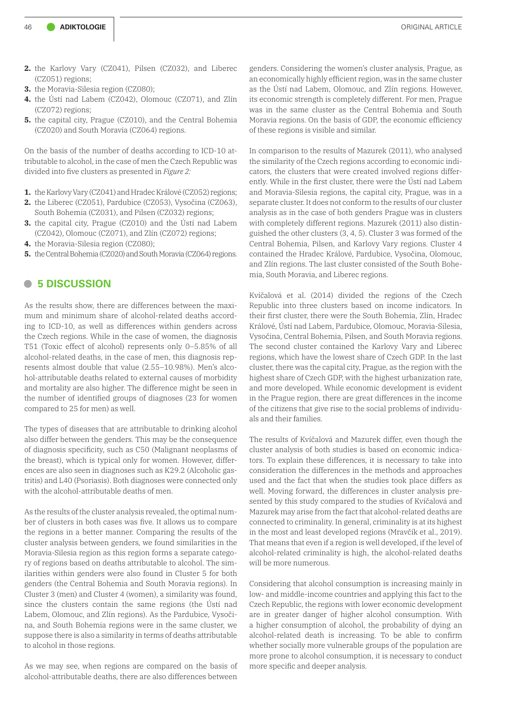- **2.** the Karlovy Vary (CZ041), Pilsen (CZ032), and Liberec (CZ051) regions;
- **3.** the Moravia-Silesia region (CZ080);
- **4.** the Ústí nad Labem (CZ042), Olomouc (CZ071), and Zlín (CZ072) regions;
- **5.** the capital city, Prague (CZ010), and the Central Bohemia (CZ020) and South Moravia (CZ064) regions.

On the basis of the number of deaths according to ICD-10 attributable to alcohol, in the case of men the Czech Republic was divided into five clusters as presented in *Figure 2:*

- **1.** the Karlovy Vary (CZ041) and Hradec Králové (CZ052) regions;
- **2.** the Liberec (CZ051), Pardubice (CZ053), Vysočina (CZ063), South Bohemia (CZ031), and Pilsen (CZ032) regions;
- **3.** the capital city, Prague (CZ010) and the Ústí nad Labem (CZ042), Olomouc (CZ071), and Zlín (CZ072) regions;
- **4.** the Moravia-Silesia region (CZ080);
- **5.** the Central Bohemia (CZ020) and South Moravia (CZ064) regions.

# **• 5 DISCUSSION**

As the results show, there are differences between the maximum and minimum share of alcohol-related deaths according to ICD-10, as well as differences within genders across the Czech regions. While in the case of women, the diagnosis T51 (Toxic effect of alcohol) represents only 0–5.85% of all alcohol-related deaths, in the case of men, this diagnosis represents almost double that value (2.55–10.98%). Men's alcohol-attributable deaths related to external causes of morbidity and mortality are also higher. The difference might be seen in the number of identified groups of diagnoses (23 for women compared to 25 for men) as well.

The types of diseases that are attributable to drinking alcohol also differ between the genders. This may be the consequence of diagnosis specificity, such as C50 (Malignant neoplasms of the breast), which is typical only for women. However, differences are also seen in diagnoses such as K29.2 (Alcoholic gastritis) and L40 (Psoriasis). Both diagnoses were connected only with the alcohol-attributable deaths of men.

As the results of the cluster analysis revealed, the optimal number of clusters in both cases was five. It allows us to compare the regions in a better manner. Comparing the results of the cluster analysis between genders, we found similarities in the Moravia-Silesia region as this region forms a separate category of regions based on deaths attributable to alcohol. The similarities within genders were also found in Cluster 5 for both genders (the Central Bohemia and South Moravia regions). In Cluster 3 (men) and Cluster 4 (women), a similarity was found, since the clusters contain the same regions (the Ústí nad Labem, Olomouc, and Zlín regions). As the Pardubice, Vysočina, and South Bohemia regions were in the same cluster, we suppose there is also a similarity in terms of deaths attributable to alcohol in those regions.

As we may see, when regions are compared on the basis of alcohol-attributable deaths, there are also differences between

genders. Considering the women's cluster analysis, Prague, as an economically highly efficient region, was in the same cluster as the Ústí nad Labem, Olomouc, and Zlín regions. However, its economic strength is completely different. For men, Prague was in the same cluster as the Central Bohemia and South Moravia regions. On the basis of GDP, the economic efficiency of these regions is visible and similar.

In comparison to the results of Mazurek (2011), who analysed the similarity of the Czech regions according to economic indicators, the clusters that were created involved regions differently. While in the first cluster, there were the Ústí nad Labem and Moravia-Silesia regions, the capital city, Prague, was in a separate cluster. It does not conform to the results of our cluster analysis as in the case of both genders Prague was in clusters with completely different regions. Mazurek (2011) also distinguished the other clusters (3, 4, 5). Cluster 3 was formed of the Central Bohemia, Pilsen, and Karlovy Vary regions. Cluster 4 contained the Hradec Králové, Pardubice, Vysočina, Olomouc, and Zlín regions. The last cluster consisted of the South Bohemia, South Moravia, and Liberec regions.

Kvíčalová et al. (2014) divided the regions of the Czech Republic into three clusters based on income indicators. In their first cluster, there were the South Bohemia, Zlín, Hradec Králové, Ústí nad Labem, Pardubice, Olomouc, Moravia-Silesia, Vysočina, Central Bohemia, Pilsen, and South Moravia regions. The second cluster contained the Karlovy Vary and Liberec regions, which have the lowest share of Czech GDP. In the last cluster, there was the capital city, Prague, as the region with the highest share of Czech GDP, with the highest urbanization rate, and more developed. While economic development is evident in the Prague region, there are great differences in the income of the citizens that give rise to the social problems of individuals and their families.

The results of Kvíčalová and Mazurek differ, even though the cluster analysis of both studies is based on economic indicators. To explain these differences, it is necessary to take into consideration the differences in the methods and approaches used and the fact that when the studies took place differs as well. Moving forward, the differences in cluster analysis presented by this study compared to the studies of Kvíčalová and Mazurek may arise from the fact that alcohol-related deaths are connected to criminality. In general, criminality is at its highest in the most and least developed regions (Mravčík et al., 2019). That means that even if a region is well developed, if the level of alcohol-related criminality is high, the alcohol-related deaths will be more numerous.

Considering that alcohol consumption is increasing mainly in low- and middle-income countries and applying this fact to the Czech Republic, the regions with lower economic development are in greater danger of higher alcohol consumption. With a higher consumption of alcohol, the probability of dying an alcohol-related death is increasing. To be able to confirm whether socially more vulnerable groups of the population are more prone to alcohol consumption, it is necessary to conduct more specific and deeper analysis.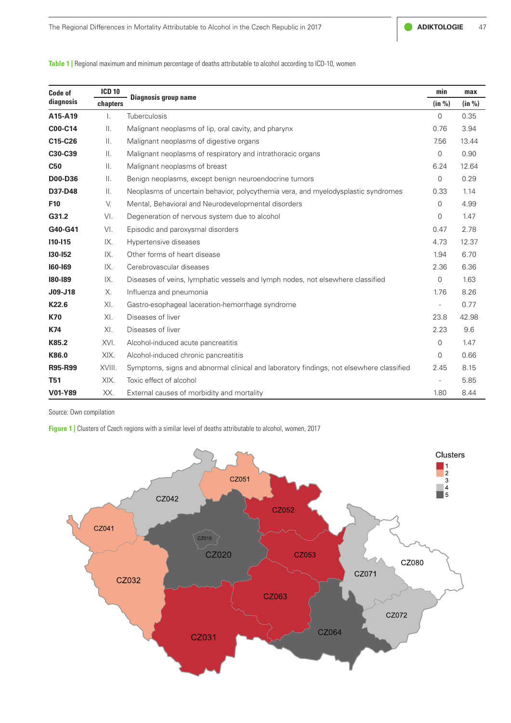

| Code of<br>diagnosis | <b>ICD 10</b><br>chapters | Diagnosis group name                                                                    | min         | max    |
|----------------------|---------------------------|-----------------------------------------------------------------------------------------|-------------|--------|
|                      |                           |                                                                                         | (in %)      | (in %) |
| A15-A19              | $\mathbf{L}$              | Tuberculosis                                                                            | 0           | 0.35   |
| C00-C14              | Ш.                        | Malignant neoplasms of lip, oral cavity, and pharynx                                    | 0.76        | 3.94   |
| C15-C26              | Ш.                        | Malignant neoplasms of digestive organs                                                 | 7.56        | 13.44  |
| C30-C39              | $\mathbf{II}$ .           | Malignant neoplasms of respiratory and intrathoracic organs                             | $\mathbf 0$ | 0.90   |
| <b>C50</b>           | $\mathbf{II}$ .           | Malignant neoplasms of breast                                                           | 6.24        | 12.64  |
| <b>D00-D36</b>       | Ш.                        | Benign neoplasms, except benign neuroendocrine tumors                                   | $\Omega$    | 0.29   |
| D37-D48              | Ш.                        | Neoplasms of uncertain behavior, polycythemia vera, and myelodysplastic syndromes       | 0.33        | 1.14   |
| F10                  | V.                        | Mental, Behavioral and Neurodevelopmental disorders                                     | 0           | 4.99   |
| G31.2                | VI.                       | Degeneration of nervous system due to alcohol                                           | 0           | 1.47   |
| G40-G41              | VI.                       | Episodic and paroxysmal disorders                                                       | 0.47        | 2.78   |
| $110 - 115$          | IX.                       | Hypertensive diseases                                                                   | 4.73        | 12.37  |
| 130-152              | IX.                       | Other forms of heart disease                                                            | 1.94        | 6.70   |
| 160-169              | IX.                       | Cerebrovascular diseases                                                                | 2.36        | 6.36   |
| 180-189              | IX.                       | Diseases of veins, lymphatic vessels and lymph nodes, not elsewhere classified          | $\mathbf 0$ | 1.63   |
| J09-J18              | Х.                        | Influenza and pneumonia                                                                 | 1.76        | 8.26   |
| K22.6                | XI.                       | Gastro-esophageal laceration-hemorrhage syndrome                                        |             | 0.77   |
| <b>K70</b>           | XI.                       | Diseases of liver                                                                       | 23.8        | 42.98  |
| K74                  | XL                        | Diseases of liver                                                                       | 2.23        | 9.6    |
| K85.2                | XVI.                      | Alcohol-induced acute pancreatitis                                                      | 0           | 1.47   |
| K86.0                | XIX.                      | Alcohol-induced chronic pancreatitis                                                    | 0           | 0.66   |
| <b>R95-R99</b>       | XVIII.                    | Symptoms, signs and abnormal clinical and laboratory findings, not elsewhere classified | 2.45        | 8.15   |
| <b>T51</b>           | XIX.                      | Toxic effect of alcohol                                                                 |             | 5.85   |
| V01-Y89              | XX.                       | External causes of morbidity and mortality                                              | 1.80        | 8.44   |

**Table 1 |** Regional maximum and minimum percentage of deaths attributable to alcohol according to ICD-10, women

Source: Own compilation

**Figure 1 |** Clusters of Czech regions with a similar level of deaths attributable to alcohol, women, 2017

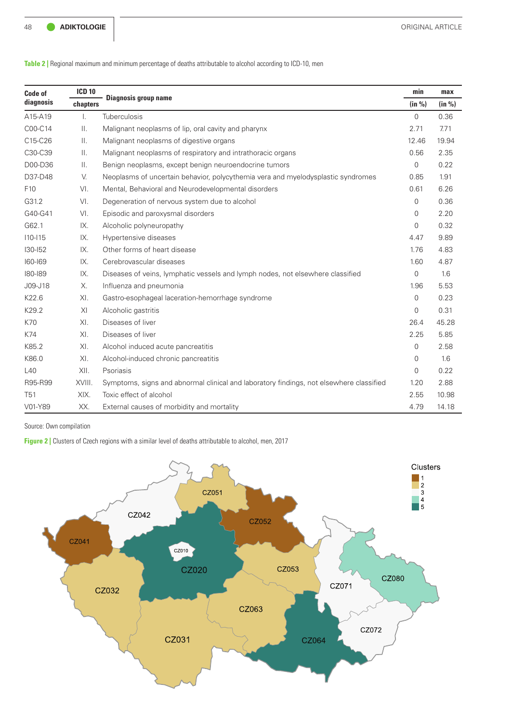**Table 2 |** Regional maximum and minimum percentage of deaths attributable to alcohol according to ICD-10, men

| Code of<br>diagnosis | <b>ICD 10</b><br>chapters | <b>Diagnosis group name</b>                                                             | min            | max    |
|----------------------|---------------------------|-----------------------------------------------------------------------------------------|----------------|--------|
|                      |                           |                                                                                         | (in %)         | (in %) |
| A15-A19              | $\mathsf{L}$              | <b>Tuberculosis</b>                                                                     | $\mathbf{0}$   | 0.36   |
| C00-C14              | $\mathbf{II}$ .           | Malignant neoplasms of lip, oral cavity and pharynx                                     | 2.71           | 7.71   |
| C15-C26              | $\mathbf{II}$ .           | Malignant neoplasms of digestive organs                                                 | 12.46          | 19.94  |
| C30-C39              | $\mathbb{H}$ .            | Malignant neoplasms of respiratory and intrathoracic organs                             | 0.56           | 2.35   |
| D00-D36              | Ш.                        | Benign neoplasms, except benign neuroendocrine tumors                                   | $\overline{0}$ | 0.22   |
| D37-D48              | V.                        | Neoplasms of uncertain behavior, polycythemia vera and myelodysplastic syndromes        | 0.85           | 1.91   |
| F <sub>10</sub>      | VI.                       | Mental, Behavioral and Neurodevelopmental disorders                                     | 0.61           | 6.26   |
| G31.2                | VI.                       | Degeneration of nervous system due to alcohol                                           | $\mathbf 0$    | 0.36   |
| G40-G41              | VI.                       | Episodic and paroxysmal disorders                                                       | $\Omega$       | 2.20   |
| G62.1                | IX.                       | Alcoholic polyneuropathy                                                                | $\Omega$       | 0.32   |
| $110 - 115$          | IX.                       | Hypertensive diseases                                                                   | 4.47           | 9.89   |
| $130 - 152$          | IX.                       | Other forms of heart disease                                                            | 1.76           | 4.83   |
| $160 - 169$          | IX.                       | Cerebrovascular diseases                                                                | 1.60           | 4.87   |
| 180-189              | IX.                       | Diseases of veins, lymphatic vessels and lymph nodes, not elsewhere classified          | $\Omega$       | 1.6    |
| J09-J18              | $X_{\cdot}$               | Influenza and pneumonia                                                                 | 1.96           | 5.53   |
| K22.6                | XI.                       | Gastro-esophageal laceration-hemorrhage syndrome                                        | $\mathbf 0$    | 0.23   |
| K29.2                | XI                        | Alcoholic gastritis                                                                     | $\Omega$       | 0.31   |
| K70                  | XI.                       | Diseases of liver                                                                       | 26.4           | 45.28  |
| K74                  | XI.                       | Diseases of liver                                                                       | 2.25           | 5.85   |
| K85.2                | XI.                       | Alcohol induced acute pancreatitis                                                      | $\Omega$       | 2.58   |
| K86.0                | XL                        | Alcohol-induced chronic pancreatitis                                                    | 0              | 1.6    |
| L40                  | XII.                      | Psoriasis                                                                               | $\overline{0}$ | 0.22   |
| R95-R99              | XVIII.                    | Symptoms, signs and abnormal clinical and laboratory findings, not elsewhere classified | 1.20           | 2.88   |
| <b>T51</b>           | XIX.                      | Toxic effect of alcohol                                                                 | 2.55           | 10.98  |
| V01-Y89              | XX.                       | External causes of morbidity and mortality                                              | 4.79           | 14.18  |

Source: Own compilation

**Figure 2 |** Clusters of Czech regions with a similar level of deaths attributable to alcohol, men, 2017

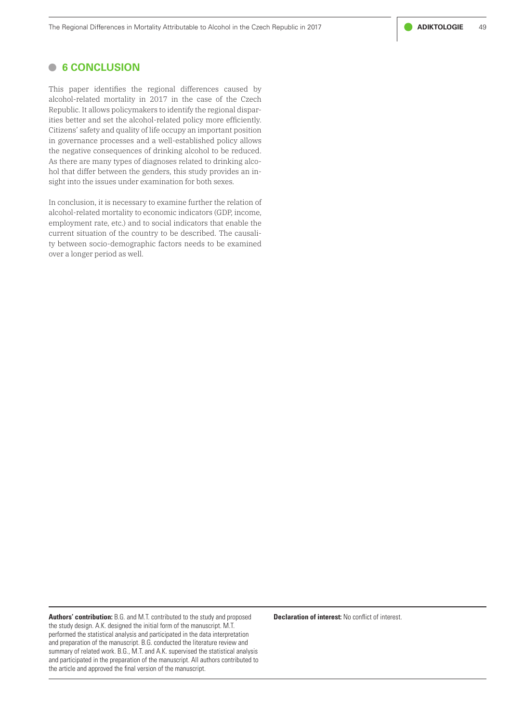# **• 6 CONCLUSION**

This paper identifies the regional differences caused by alcohol-related mortality in 2017 in the case of the Czech Republic. It allows policymakers to identify the regional disparities better and set the alcohol-related policy more efficiently. Citizens' safety and quality of life occupy an important position in governance processes and a well-established policy allows the negative consequences of drinking alcohol to be reduced. As there are many types of diagnoses related to drinking alcohol that differ between the genders, this study provides an insight into the issues under examination for both sexes.

In conclusion, it is necessary to examine further the relation of alcohol-related mortality to economic indicators (GDP, income, employment rate, etc.) and to social indicators that enable the current situation of the country to be described. The causality between socio-demographic factors needs to be examined over a longer period as well.

**Authors' contribution:** B.G. and M.T. contributed to the study and proposed the study design. A.K. designed the initial form of the manuscript. M.T. performed the statistical analysis and participated in the data interpretation and preparation of the manuscript. B.G. conducted the literature review and summary of related work. B.G., M.T. and A.K. supervised the statistical analysis and participated in the preparation of the manuscript. All authors contributed to the article and approved the final version of the manuscript.

**Declaration of interest:** No conflict of interest.